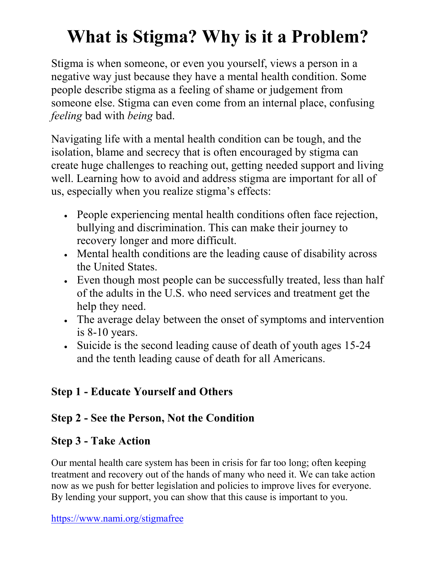## **What is Stigma? Why is it a Problem?**

Stigma is when someone, or even you yourself, views a person in a negative way just because they have a mental health condition. Some people describe stigma as a feeling of shame or judgement from someone else. Stigma can even come from an internal place, confusing *feeling* bad with *being* bad.

Navigating life with a mental health condition can be tough, and the isolation, blame and secrecy that is often encouraged by stigma can create huge challenges to reaching out, getting needed support and living well. Learning how to avoid and address stigma are important for all of us, especially when you realize stigma's effects:

- People experiencing mental health conditions often face rejection, bullying and discrimination. This can make their journey to recovery longer and more difficult.
- Mental health conditions are the leading cause of disability across the United States.
- Even though most people can be successfully treated, less than half of the adults in the U.S. who need services and treatment get the help they need.
- The average delay between the onset of symptoms and intervention is 8-10 years.
- Suicide is the second leading cause of death of youth ages 15-24 and the tenth leading cause of death for all Americans.

## **Step 1 - Educate Yourself and Others**

## **Step 2 - See the Person, Not the Condition**

## **Step 3 - Take Action**

Our mental health care system has been in crisis for far too long; often keeping treatment and recovery out of the hands of many who need it. We can take action now as we push for better legislation and policies to improve lives for everyone. By lending your support, you can show that this cause is important to you.

https://www.nami.org/stigmafree